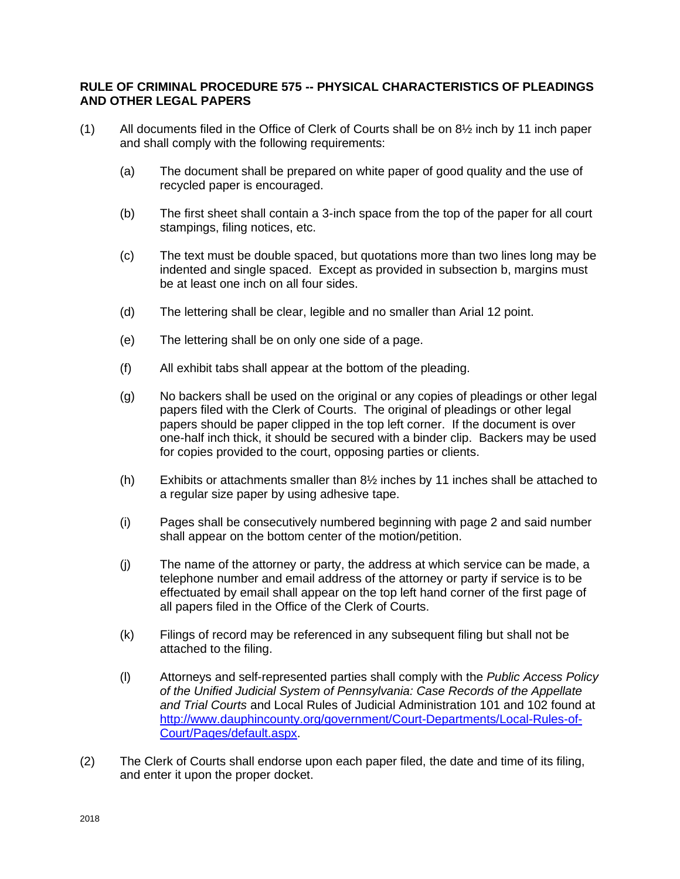## **RULE OF CRIMINAL PROCEDURE 575 -- PHYSICAL CHARACTERISTICS OF PLEADINGS AND OTHER LEGAL PAPERS**

- (1) All documents filed in the Office of Clerk of Courts shall be on  $8\frac{1}{2}$  inch by 11 inch paper and shall comply with the following requirements:
	- (a) The document shall be prepared on white paper of good quality and the use of recycled paper is encouraged.
	- (b) The first sheet shall contain a 3-inch space from the top of the paper for all court stampings, filing notices, etc.
	- (c) The text must be double spaced, but quotations more than two lines long may be indented and single spaced. Except as provided in subsection b, margins must be at least one inch on all four sides.
	- (d) The lettering shall be clear, legible and no smaller than Arial 12 point.
	- (e) The lettering shall be on only one side of a page.
	- (f) All exhibit tabs shall appear at the bottom of the pleading.
	- (g) No backers shall be used on the original or any copies of pleadings or other legal papers filed with the Clerk of Courts. The original of pleadings or other legal papers should be paper clipped in the top left corner. If the document is over one-half inch thick, it should be secured with a binder clip. Backers may be used for copies provided to the court, opposing parties or clients.
	- (h) Exhibits or attachments smaller than 8½ inches by 11 inches shall be attached to a regular size paper by using adhesive tape.
	- (i) Pages shall be consecutively numbered beginning with page 2 and said number shall appear on the bottom center of the motion/petition.
	- (j) The name of the attorney or party, the address at which service can be made, a telephone number and email address of the attorney or party if service is to be effectuated by email shall appear on the top left hand corner of the first page of all papers filed in the Office of the Clerk of Courts.
	- (k) Filings of record may be referenced in any subsequent filing but shall not be attached to the filing.
	- (l) Attorneys and self-represented parties shall comply with the *Public Access Policy of the Unified Judicial System of Pennsylvania: Case Records of the Appellate and Trial Courts* and Local Rules of Judicial Administration 101 and 102 found at [http://www.dauphincounty.org/government/Court-Departments/Local-Rules-of-](http://www.dauphincounty.org/government/Court-Departments/Local-Rules-of-%09%09%09Court/Pages/default.aspx)[Court/Pages/default.aspx.](http://www.dauphincounty.org/government/Court-Departments/Local-Rules-of-%09%09%09Court/Pages/default.aspx)
- (2) The Clerk of Courts shall endorse upon each paper filed, the date and time of its filing, and enter it upon the proper docket.